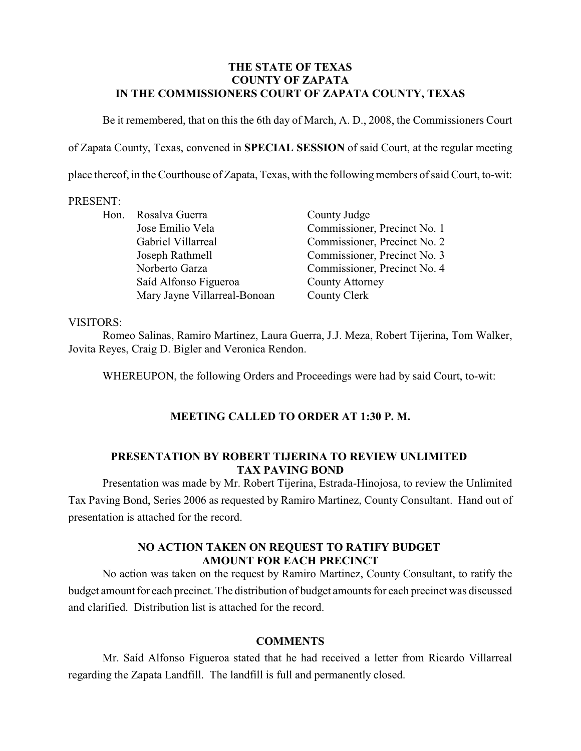## **THE STATE OF TEXAS COUNTY OF ZAPATA IN THE COMMISSIONERS COURT OF ZAPATA COUNTY, TEXAS**

Be it remembered, that on this the 6th day of March, A. D., 2008, the Commissioners Court

of Zapata County, Texas, convened in **SPECIAL SESSION** of said Court, at the regular meeting

place thereof, in the Courthouse of Zapata, Texas, with the following members of said Court, to-wit:

#### PRESENT:

|  | Hon. Rosalva Guerra          | County Judge                 |
|--|------------------------------|------------------------------|
|  | Jose Emilio Vela             | Commissioner, Precinct No. 1 |
|  | Gabriel Villarreal           | Commissioner, Precinct No. 2 |
|  | Joseph Rathmell              | Commissioner, Precinct No. 3 |
|  | Norberto Garza               | Commissioner, Precinct No. 4 |
|  | Saíd Alfonso Figueroa        | <b>County Attorney</b>       |
|  | Mary Jayne Villarreal-Bonoan | County Clerk                 |

### VISITORS:

Romeo Salinas, Ramiro Martinez, Laura Guerra, J.J. Meza, Robert Tijerina, Tom Walker, Jovita Reyes, Craig D. Bigler and Veronica Rendon.

WHEREUPON, the following Orders and Proceedings were had by said Court, to-wit:

## **MEETING CALLED TO ORDER AT 1:30 P. M.**

#### **PRESENTATION BY ROBERT TIJERINA TO REVIEW UNLIMITED TAX PAVING BOND**

Presentation was made by Mr. Robert Tijerina, Estrada-Hinojosa, to review the Unlimited Tax Paving Bond, Series 2006 as requested by Ramiro Martinez, County Consultant. Hand out of presentation is attached for the record.

## **NO ACTION TAKEN ON REQUEST TO RATIFY BUDGET AMOUNT FOR EACH PRECINCT**

No action was taken on the request by Ramiro Martinez, County Consultant, to ratify the budget amount for each precinct. The distribution of budget amounts for each precinct was discussed and clarified. Distribution list is attached for the record.

## **COMMENTS**

Mr. Saíd Alfonso Figueroa stated that he had received a letter from Ricardo Villarreal regarding the Zapata Landfill. The landfill is full and permanently closed.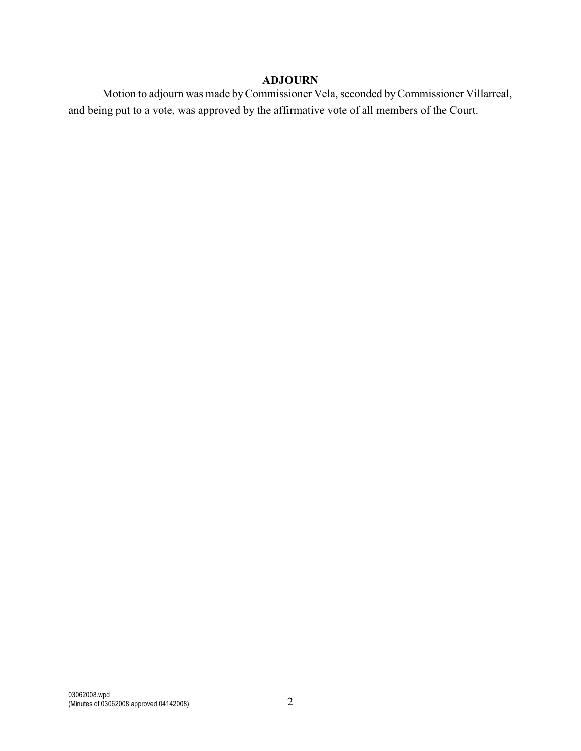# **ADJOURN**

Motion to adjourn was made by Commissioner Vela, seconded by Commissioner Villarreal, and being put to a vote, was approved by the affirmative vote of all members of the Court.